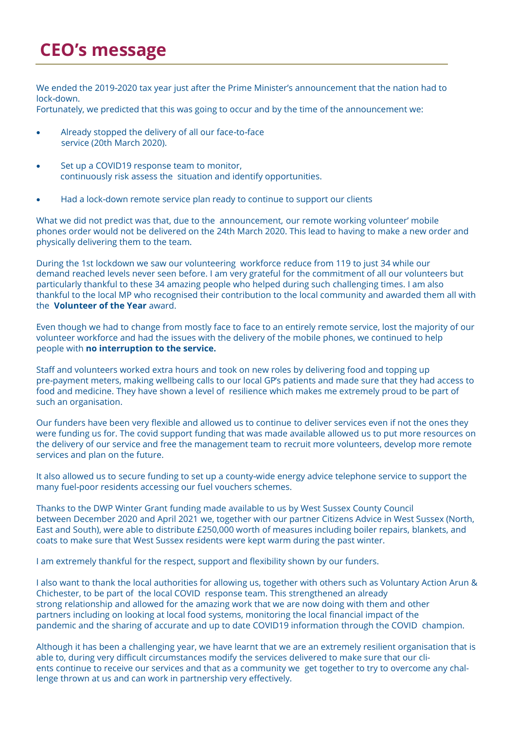## **CEO's message**

We ended the 2019-2020 tax year just after the Prime Minister's announcement that the nation had to lock-down.

Fortunately, we predicted that this was going to occur and by the time of the announcement we:

- Already stopped the delivery of all our face-to-face service (20th March 2020).
- Set up a COVID19 response team to monitor, continuously risk assess the situation and identify opportunities.
- Had a lock-down remote service plan ready to continue to support our clients

What we did not predict was that, due to the announcement, our remote working volunteer' mobile phones order would not be delivered on the 24th March 2020. This lead to having to make a new order and physically delivering them to the team.

During the 1st lockdown we saw our volunteering workforce reduce from 119 to just 34 while our demand reached levels never seen before. I am very grateful for the commitment of all our volunteers but particularly thankful to these 34 amazing people who helped during such challenging times. I am also thankful to the local MP who recognised their contribution to the local community and awarded them all with the **Volunteer of the Year** award.

Even though we had to change from mostly face to face to an entirely remote service, lost the majority of our volunteer workforce and had the issues with the delivery of the mobile phones, we continued to help people with **no interruption to the service.**

Staff and volunteers worked extra hours and took on new roles by delivering food and topping up pre-payment meters, making wellbeing calls to our local GP's patients and made sure that they had access to food and medicine. They have shown a level of resilience which makes me extremely proud to be part of such an organisation.

Our funders have been very flexible and allowed us to continue to deliver services even if not the ones they were funding us for. The covid support funding that was made available allowed us to put more resources on the delivery of our service and free the management team to recruit more volunteers, develop more remote services and plan on the future.

It also allowed us to secure funding to set up a county-wide energy advice telephone service to support the many fuel-poor residents accessing our fuel vouchers schemes.

Thanks to the DWP Winter Grant funding made available to us by West Sussex County Council between December 2020 and April 2021 we, together with our partner Citizens Advice in West Sussex (North, East and South), were able to distribute £250,000 worth of measures including boiler repairs, blankets, and coats to make sure that West Sussex residents were kept warm during the past winter.

I am extremely thankful for the respect, support and flexibility shown by our funders.

I also want to thank the local authorities for allowing us, together with others such as Voluntary Action Arun & Chichester, to be part of the local COVID response team. This strengthened an already strong relationship and allowed for the amazing work that we are now doing with them and other partners including on looking at local food systems, monitoring the local financial impact of the pandemic and the sharing of accurate and up to date COVID19 information through the COVID champion.

Although it has been a challenging year, we have learnt that we are an extremely resilient organisation that is able to, during very difficult circumstances modify the services delivered to make sure that our clients continue to receive our services and that as a community we get together to try to overcome any challenge thrown at us and can work in partnership very effectively.